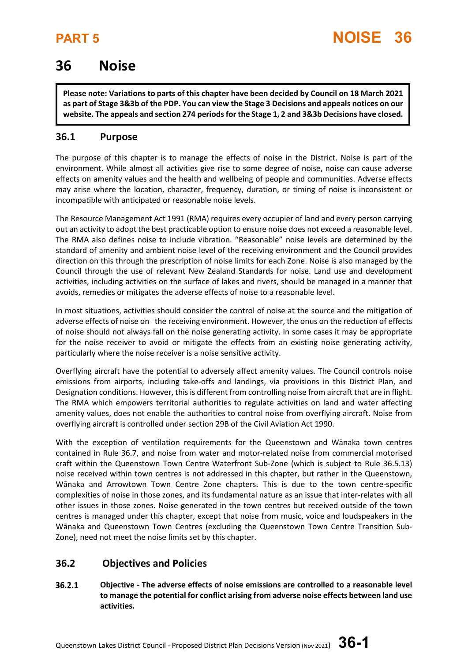## **36 Noise**

**Please note: Variations to parts of this chapter have been decided by Council on 18 March 2021 as part of Stage 3&3b of the PDP. You can view the Stage 3 Decisions and appeals notices on our website. The appeals and section 274 periods for the Stage 1, 2 and 3&3b Decisions have closed.**

## **36.1 Purpose**

The purpose of this chapter is to manage the effects of noise in the District. Noise is part of the environment. While almost all activities give rise to some degree of noise, noise can cause adverse effects on amenity values and the health and wellbeing of people and communities. Adverse effects may arise where the location, character, frequency, duration, or timing of noise is inconsistent or incompatible with anticipated or reasonable noise levels.

The Resource Management Act 1991 (RMA) requires every occupier of land and every person carrying out an activity to adopt the best practicable option to ensure noise does not exceed a reasonable level. The RMA also defines noise to include vibration. "Reasonable" noise levels are determined by the standard of amenity and ambient noise level of the receiving environment and the Council provides direction on this through the prescription of noise limits for each Zone. Noise is also managed by the Council through the use of relevant New Zealand Standards for noise. Land use and development activities, including activities on the surface of lakes and rivers, should be managed in a manner that avoids, remedies or mitigates the adverse effects of noise to a reasonable level.

In most situations, activities should consider the control of noise at the source and the mitigation of adverse effects of noise on the receiving environment. However, the onus on the reduction of effects of noise should not always fall on the noise generating activity. In some cases it may be appropriate for the noise receiver to avoid or mitigate the effects from an existing noise generating activity, particularly where the noise receiver is a noise sensitive activity.

Overflying aircraft have the potential to adversely affect amenity values. The Council controls noise emissions from airports, including take-offs and landings, via provisions in this District Plan, and Designation conditions. However, this is different from controlling noise from aircraft that are in flight. The RMA which empowers territorial authorities to regulate activities on land and water affecting amenity values, does not enable the authorities to control noise from overflying aircraft. Noise from overflying aircraft is controlled under section 29B of the Civil Aviation Act 1990.

With the exception of ventilation requirements for the Queenstown and Wānaka town centres contained in Rule 36.7, and noise from water and motor-related noise from commercial motorised craft within the Queenstown Town Centre Waterfront Sub-Zone (which is subject to Rule 36.5.13) noise received within town centres is not addressed in this chapter, but rather in the Queenstown, Wānaka and Arrowtown Town Centre Zone chapters. This is due to the town centre-specific complexities of noise in those zones, and its fundamental nature as an issue that inter-relates with all other issues in those zones. Noise generated in the town centres but received outside of the town centres is managed under this chapter, except that noise from music, voice and loudspeakers in the Wānaka and Queenstown Town Centres (excluding the Queenstown Town Centre Transition Sub-Zone), need not meet the noise limits set by this chapter.

## **36.2 Objectives and Policies**

36.2.1 **Objective - The adverse effects of noise emissions are controlled to a reasonable level to manage the potential for conflict arising from adverse noise effects between land use activities.**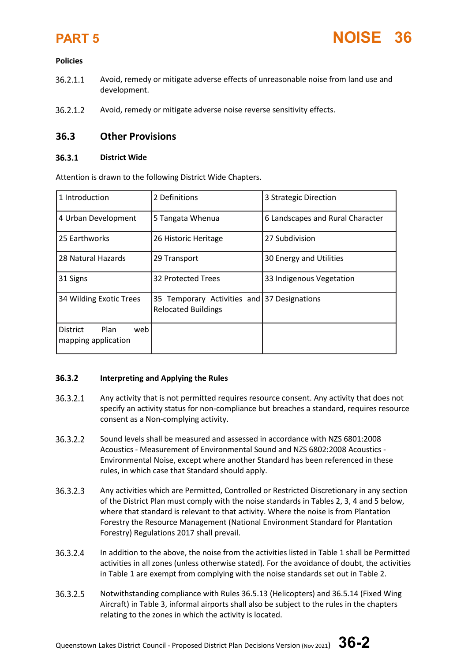

### **Policies**

- 36.2.1.1 Avoid, remedy or mitigate adverse effects of unreasonable noise from land use and development.
- $36.2.1.2$ Avoid, remedy or mitigate adverse noise reverse sensitivity effects.

### **36.3 Other Provisions**

### $36.3.1$ **District Wide**

Attention is drawn to the following District Wide Chapters.

| 1 Introduction                                        | 2 Definitions                                                             | 3 Strategic Direction            |  |  |
|-------------------------------------------------------|---------------------------------------------------------------------------|----------------------------------|--|--|
| 4 Urban Development                                   | 5 Tangata Whenua                                                          | 6 Landscapes and Rural Character |  |  |
| 25 Earthworks                                         | 26 Historic Heritage                                                      | 27 Subdivision                   |  |  |
| 28 Natural Hazards                                    | 29 Transport                                                              | 30 Energy and Utilities          |  |  |
| 31 Signs                                              | 32 Protected Trees                                                        | 33 Indigenous Vegetation         |  |  |
| 34 Wilding Exotic Trees                               | 35 Temporary Activities and 37 Designations<br><b>Relocated Buildings</b> |                                  |  |  |
| Plan<br><b>District</b><br>web<br>mapping application |                                                                           |                                  |  |  |

### $36.3.2$ **Interpreting and Applying the Rules**

- 36.3.2.1 Any activity that is not permitted requires resource consent. Any activity that does not specify an activity status for non-compliance but breaches a standard, requires resource consent as a Non-complying activity.
- 36.3.2.2 Sound levels shall be measured and assessed in accordance with NZS 6801:2008 Acoustics - Measurement of Environmental Sound and NZS 6802:2008 Acoustics - Environmental Noise, except where another Standard has been referenced in these rules, in which case that Standard should apply.
- 36.3.2.3 Any activities which are Permitted, Controlled or Restricted Discretionary in any section of the District Plan must comply with the noise standards in Tables 2, 3, 4 and 5 below, where that standard is relevant to that activity. Where the noise is from Plantation Forestry the Resource Management (National Environment Standard for Plantation Forestry) Regulations 2017 shall prevail.
- 36.3.2.4 In addition to the above, the noise from the activities listed in Table 1 shall be Permitted activities in all zones (unless otherwise stated). For the avoidance of doubt, the activities in Table 1 are exempt from complying with the noise standards set out in Table 2.
- 36.3.2.5 Notwithstanding compliance with Rules 36.5.13 (Helicopters) and 36.5.14 (Fixed Wing Aircraft) in Table 3, informal airports shall also be subject to the rules in the chapters relating to the zones in which the activity is located.

Queenstown Lakes District Council - Proposed District Plan Decisions Version (Nov 2021) **36-2**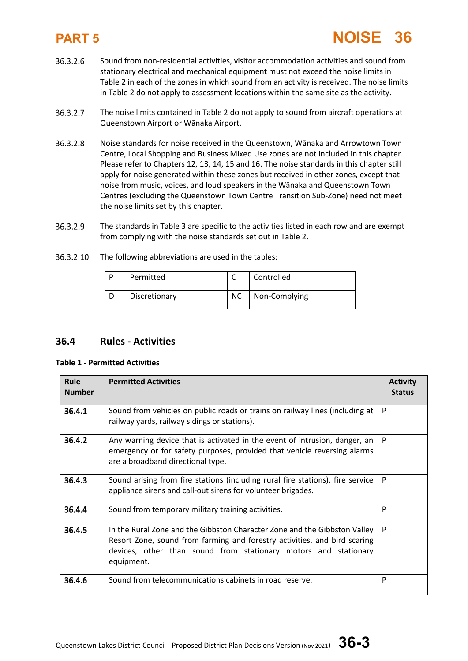- 36.3.2.6 Sound from non-residential activities, visitor accommodation activities and sound from stationary electrical and mechanical equipment must not exceed the noise limits in Table 2 in each of the zones in which sound from an activity is received. The noise limits in Table 2 do not apply to assessment locations within the same site as the activity.
- 36.3.2.7 The noise limits contained in Table 2 do not apply to sound from aircraft operations at Queenstown Airport or Wānaka Airport.
- 36.3.2.8 Noise standards for noise received in the Queenstown, Wānaka and Arrowtown Town Centre, Local Shopping and Business Mixed Use zones are not included in this chapter. Please refer to Chapters 12, 13, 14, 15 and 16. The noise standards in this chapter still apply for noise generated within these zones but received in other zones, except that noise from music, voices, and loud speakers in the Wānaka and Queenstown Town Centres (excluding the Queenstown Town Centre Transition Sub-Zone) need not meet the noise limits set by this chapter.
- 36.3.2.9 The standards in Table 3 are specific to the activities listed in each row and are exempt from complying with the noise standards set out in Table 2.
- 36.3.2.10 The following abbreviations are used in the tables:

| D | Permitted     |           | Controlled    |
|---|---------------|-----------|---------------|
|   | Discretionary | <b>NC</b> | Non-Complying |

## **36.4 Rules - Activities**

### **Table 1 - Permitted Activities**

| Rule<br><b>Number</b> | <b>Permitted Activities</b>                                                                                                                                                                                                             | <b>Activity</b><br><b>Status</b> |
|-----------------------|-----------------------------------------------------------------------------------------------------------------------------------------------------------------------------------------------------------------------------------------|----------------------------------|
| 36.4.1                | Sound from vehicles on public roads or trains on railway lines (including at<br>railway yards, railway sidings or stations).                                                                                                            | P                                |
| 36.4.2                | Any warning device that is activated in the event of intrusion, danger, an<br>emergency or for safety purposes, provided that vehicle reversing alarms<br>are a broadband directional type.                                             | P                                |
| 36.4.3                | Sound arising from fire stations (including rural fire stations), fire service<br>appliance sirens and call-out sirens for volunteer brigades.                                                                                          | P                                |
| 36.4.4                | Sound from temporary military training activities.                                                                                                                                                                                      | P                                |
| 36.4.5                | In the Rural Zone and the Gibbston Character Zone and the Gibbston Valley<br>Resort Zone, sound from farming and forestry activities, and bird scaring<br>devices, other than sound from stationary motors and stationary<br>equipment. | P                                |
| 36.4.6                | Sound from telecommunications cabinets in road reserve.                                                                                                                                                                                 | P                                |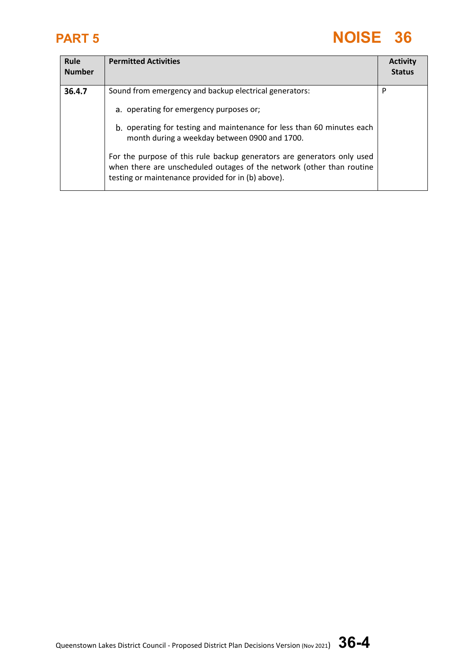| Rule<br><b>Number</b> | <b>Permitted Activities</b>                                                                                                                                                                                                                                                                                                                                                                                                            | <b>Activity</b><br><b>Status</b> |
|-----------------------|----------------------------------------------------------------------------------------------------------------------------------------------------------------------------------------------------------------------------------------------------------------------------------------------------------------------------------------------------------------------------------------------------------------------------------------|----------------------------------|
| 36.4.7                | Sound from emergency and backup electrical generators:<br>a. operating for emergency purposes or;<br>b. operating for testing and maintenance for less than 60 minutes each<br>month during a weekday between 0900 and 1700.<br>For the purpose of this rule backup generators are generators only used<br>when there are unscheduled outages of the network (other than routine<br>testing or maintenance provided for in (b) above). | P                                |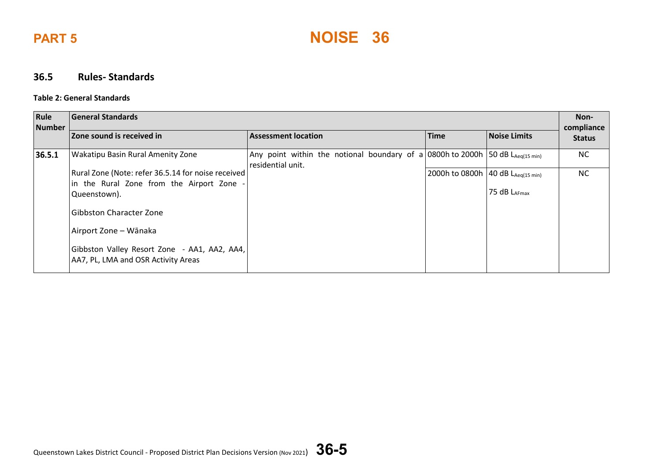



### **36.5 Rules- Standards**

### **Table 2: General Standards**

| Rule<br><b>Number</b> | General Standards                                                                   |                                                                                                    |                                          |                   |                             |
|-----------------------|-------------------------------------------------------------------------------------|----------------------------------------------------------------------------------------------------|------------------------------------------|-------------------|-----------------------------|
|                       | Zone sound is received in                                                           | <b>Assessment location</b>                                                                         | <b>Time</b>                              | Noise Limits      | compliance<br><b>Status</b> |
| 36.5.1                | Wakatipu Basin Rural Amenity Zone                                                   | Any point within the notional boundary of a 0800h to 2000h 50 dB LAeq(15 min)<br>residential unit. |                                          |                   | NC                          |
|                       | Rural Zone (Note: refer 36.5.14 for noise received                                  |                                                                                                    | 2000h to 0800h   40 dB $L_{Aeq(15 min)}$ |                   | NC                          |
|                       | in the Rural Zone from the Airport Zone -                                           |                                                                                                    |                                          |                   |                             |
|                       | Queenstown).                                                                        |                                                                                                    |                                          | 75 dB $L_{AFmax}$ |                             |
|                       | l Gibbston Character Zone                                                           |                                                                                                    |                                          |                   |                             |
|                       | Airport Zone – Wānaka                                                               |                                                                                                    |                                          |                   |                             |
|                       | Gibbston Valley Resort Zone - AA1, AA2, AA4,<br>AA7, PL, LMA and OSR Activity Areas |                                                                                                    |                                          |                   |                             |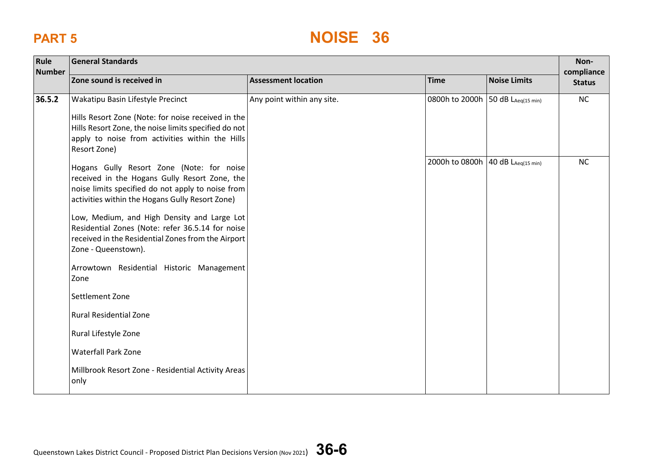| Rule<br><b>Number</b> | <b>General Standards</b>                                                                                                                                                                                                                                                                                                                                                                                                                                                                                                                          |                            |                                     |                     |                             |
|-----------------------|---------------------------------------------------------------------------------------------------------------------------------------------------------------------------------------------------------------------------------------------------------------------------------------------------------------------------------------------------------------------------------------------------------------------------------------------------------------------------------------------------------------------------------------------------|----------------------------|-------------------------------------|---------------------|-----------------------------|
|                       | Zone sound is received in                                                                                                                                                                                                                                                                                                                                                                                                                                                                                                                         | <b>Assessment location</b> | <b>Time</b>                         | <b>Noise Limits</b> | compliance<br><b>Status</b> |
| 36.5.2                | Wakatipu Basin Lifestyle Precinct<br>Hills Resort Zone (Note: for noise received in the<br>Hills Resort Zone, the noise limits specified do not<br>apply to noise from activities within the Hills<br>Resort Zone)                                                                                                                                                                                                                                                                                                                                | Any point within any site. | 0800h to 2000h 50 dB LAeq(15 min)   |                     | NC                          |
|                       | Hogans Gully Resort Zone (Note: for noise<br>received in the Hogans Gully Resort Zone, the<br>noise limits specified do not apply to noise from<br>activities within the Hogans Gully Resort Zone)<br>Low, Medium, and High Density and Large Lot<br>Residential Zones (Note: refer 36.5.14 for noise<br>received in the Residential Zones from the Airport<br>Zone - Queenstown).<br>Arrowtown Residential Historic Management<br>Zone<br>Settlement Zone<br><b>Rural Residential Zone</b><br>Rural Lifestyle Zone<br><b>Waterfall Park Zone</b> |                            | 2000h to 0800h   40 dB LAeg(15 min) |                     | <b>NC</b>                   |
|                       | Millbrook Resort Zone - Residential Activity Areas<br>only                                                                                                                                                                                                                                                                                                                                                                                                                                                                                        |                            |                                     |                     |                             |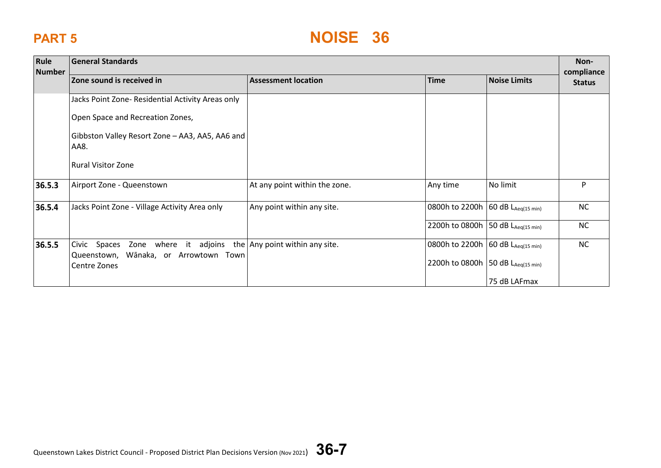| Rule<br><b>Number</b> | <b>General Standards</b>                                                  |                               |                                     |                                  |                             |
|-----------------------|---------------------------------------------------------------------------|-------------------------------|-------------------------------------|----------------------------------|-----------------------------|
|                       | Zone sound is received in                                                 | <b>Assessment location</b>    | <b>Time</b>                         | <b>Noise Limits</b>              | compliance<br><b>Status</b> |
|                       | Jacks Point Zone- Residential Activity Areas only                         |                               |                                     |                                  |                             |
|                       | Open Space and Recreation Zones,                                          |                               |                                     |                                  |                             |
|                       | Gibbston Valley Resort Zone - AA3, AA5, AA6 and<br>AA8.                   |                               |                                     |                                  |                             |
|                       | <b>Rural Visitor Zone</b>                                                 |                               |                                     |                                  |                             |
| 36.5.3                | Airport Zone - Queenstown                                                 | At any point within the zone. | Any time                            | No limit                         | P                           |
| 36.5.4                | Jacks Point Zone - Village Activity Area only                             | Any point within any site.    | 0800h to 2200h 60 dB LAeq(15 min)   |                                  | <b>NC</b>                   |
|                       |                                                                           |                               | 2200h to 0800h                      | 50 $dB$ L <sub>Aeq(15 min)</sub> | <b>NC</b>                   |
| 36.5.5                | Civic Spaces Zone where it adjoins the $\vert$ Any point within any site. |                               | 0800h to 2200h 60 dB LAeq(15 min)   |                                  | NC                          |
|                       | Queenstown, Wānaka, or Arrowtown Town<br>Centre Zones                     |                               | 2200h to 0800h   50 dB LAeq(15 min) |                                  |                             |
|                       |                                                                           |                               |                                     | 75 dB LAFmax                     |                             |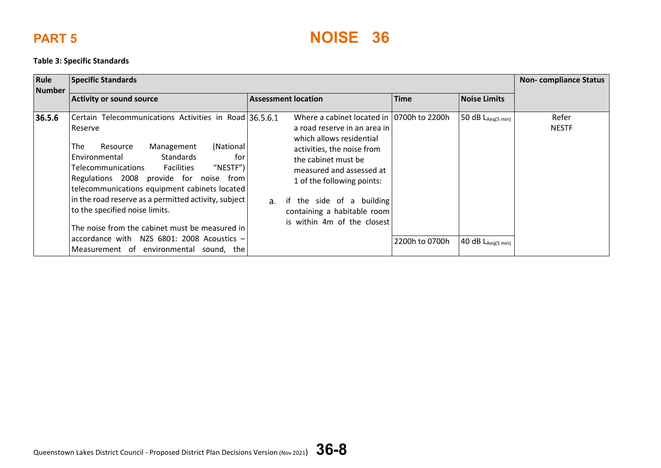### **Table 3: Specific Standards**

| Rule<br><b>Number</b> | <b>Specific Standards</b>                                                                                                                                                                                                                                                                                                                                                                                                                                                                                                                               | <b>Non-compliance Status</b>                                                                                                                                                                                                                                                                                                |                |                                                             |                       |
|-----------------------|---------------------------------------------------------------------------------------------------------------------------------------------------------------------------------------------------------------------------------------------------------------------------------------------------------------------------------------------------------------------------------------------------------------------------------------------------------------------------------------------------------------------------------------------------------|-----------------------------------------------------------------------------------------------------------------------------------------------------------------------------------------------------------------------------------------------------------------------------------------------------------------------------|----------------|-------------------------------------------------------------|-----------------------|
|                       | <b>Activity or sound source</b>                                                                                                                                                                                                                                                                                                                                                                                                                                                                                                                         | <b>Assessment location</b>                                                                                                                                                                                                                                                                                                  | <b>Time</b>    | <b>Noise Limits</b>                                         |                       |
| 36.5.6                | Certain Telecommunications Activities in Road 36.5.6.1<br>Reserve<br>The<br>(National<br>Management<br>Resource<br>Standards<br>Environmental<br>for<br>"NESTF" $)$<br>Telecommunications<br><b>Facilities</b><br>Regulations 2008<br>provide for noise<br>from<br>telecommunications equipment cabinets located<br>in the road reserve as a permitted activity, subject<br>to the specified noise limits.<br>The noise from the cabinet must be measured in<br>accordance with NZS $6801: 2008$ Acoustics -<br>Measurement of environmental sound, the | Where a cabinet located in 10700h to 2200h<br>a road reserve in an area in<br>which allows residential<br>activities, the noise from<br>the cabinet must be<br>measured and assessed at<br>1 of the following points:<br>if the side of a building<br>$a_{-}$<br>containing a habitable room<br>is within 4m of the closest | 2200h to 0700h | 50 $dB$ $L_{Aeq(5 min)}$<br>40 $dB$ L <sub>Aeg(5 min)</sub> | Refer<br><b>NESTF</b> |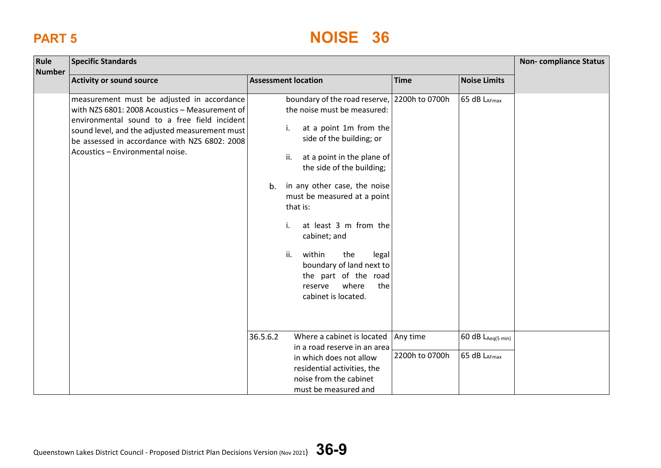| Rule          | <b>Specific Standards</b>                                                                                                                                                                                                                                                           |                                                                                                                                                                                                                                                                                                                                                                                                                                                                   |                            |                                                 |  |  |
|---------------|-------------------------------------------------------------------------------------------------------------------------------------------------------------------------------------------------------------------------------------------------------------------------------------|-------------------------------------------------------------------------------------------------------------------------------------------------------------------------------------------------------------------------------------------------------------------------------------------------------------------------------------------------------------------------------------------------------------------------------------------------------------------|----------------------------|-------------------------------------------------|--|--|
| <b>Number</b> | <b>Activity or sound source</b>                                                                                                                                                                                                                                                     | <b>Assessment location</b>                                                                                                                                                                                                                                                                                                                                                                                                                                        | <b>Time</b>                | <b>Noise Limits</b>                             |  |  |
|               | measurement must be adjusted in accordance<br>with NZS 6801: 2008 Acoustics - Measurement of<br>environmental sound to a free field incident<br>sound level, and the adjusted measurement must<br>be assessed in accordance with NZS 6802: 2008<br>Acoustics - Environmental noise. | boundary of the road reserve,<br>the noise must be measured:<br>at a point 1m from the<br>i.<br>side of the building; or<br>ii.<br>at a point in the plane of<br>the side of the building;<br>in any other case, the noise<br>b.<br>must be measured at a point<br>that is:<br>at least 3 m from the<br>i.<br>cabinet; and<br>ii.<br>within<br>the<br>legal<br>boundary of land next to<br>the part of the road<br>where<br>the<br>reserve<br>cabinet is located. | 2200h to 0700h             | 65 dB LAFmax                                    |  |  |
|               |                                                                                                                                                                                                                                                                                     | 36.5.6.2<br>Where a cabinet is located<br>in a road reserve in an area<br>in which does not allow<br>residential activities, the<br>noise from the cabinet<br>must be measured and                                                                                                                                                                                                                                                                                | Any time<br>2200h to 0700h | $60 dB$ L <sub>Aeq(5 min)</sub><br>65 dB LAFmax |  |  |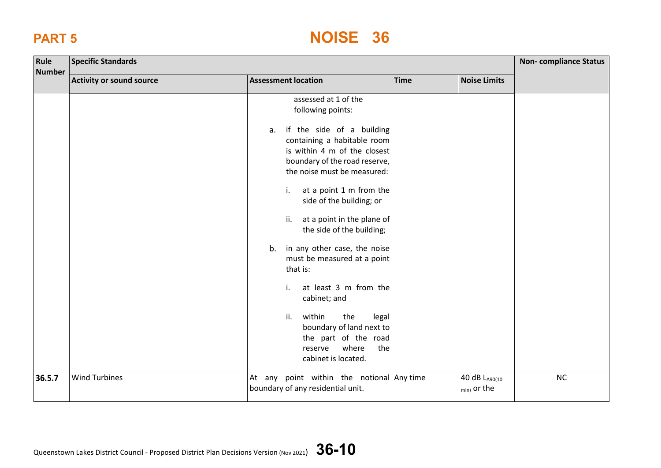| Rule<br><b>Number</b> | <b>Specific Standards</b>       |                                                                                                                                                                                                                                                                                                                                                                                                                                                                                                                                                                                                                   |             |                                         | <b>Non-compliance Status</b> |
|-----------------------|---------------------------------|-------------------------------------------------------------------------------------------------------------------------------------------------------------------------------------------------------------------------------------------------------------------------------------------------------------------------------------------------------------------------------------------------------------------------------------------------------------------------------------------------------------------------------------------------------------------------------------------------------------------|-------------|-----------------------------------------|------------------------------|
|                       | <b>Activity or sound source</b> | <b>Assessment location</b>                                                                                                                                                                                                                                                                                                                                                                                                                                                                                                                                                                                        | <b>Time</b> | <b>Noise Limits</b>                     |                              |
|                       |                                 | assessed at 1 of the<br>following points:<br>if the side of a building<br>a.<br>containing a habitable room<br>is within 4 m of the closest<br>boundary of the road reserve,<br>the noise must be measured:<br>at a point 1 m from the<br>i.<br>side of the building; or<br>at a point in the plane of<br>ii.<br>the side of the building;<br>in any other case, the noise<br>b.<br>must be measured at a point<br>that is:<br>at least 3 m from the<br>i.<br>cabinet; and<br>ii.<br>within<br>the<br>legal<br>boundary of land next to<br>the part of the road<br>where<br>the<br>reserve<br>cabinet is located. |             |                                         |                              |
| 36.5.7                | <b>Wind Turbines</b>            | At any point within the notional Any time<br>boundary of any residential unit.                                                                                                                                                                                                                                                                                                                                                                                                                                                                                                                                    |             | 40 dB LA90(10<br><sub>min)</sub> or the | NC                           |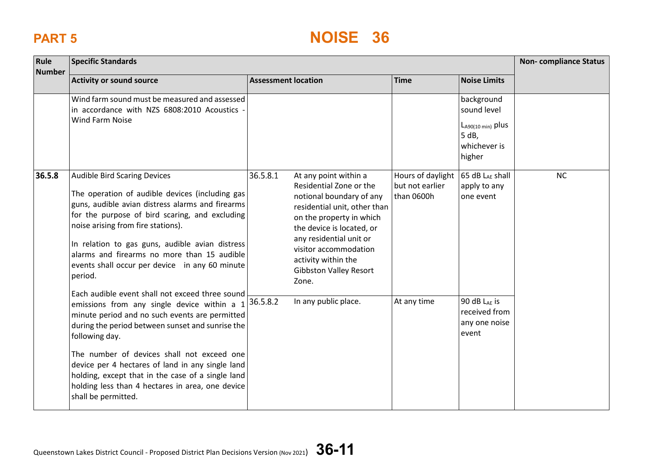| Rule<br><b>Number</b> | <b>Specific Standards</b>                                                                                                                                                                                                                                                                                                                                                                                                                                  |                                                                                                                                                                                                                                                                                                        |                                                    |                                                                                        |           |
|-----------------------|------------------------------------------------------------------------------------------------------------------------------------------------------------------------------------------------------------------------------------------------------------------------------------------------------------------------------------------------------------------------------------------------------------------------------------------------------------|--------------------------------------------------------------------------------------------------------------------------------------------------------------------------------------------------------------------------------------------------------------------------------------------------------|----------------------------------------------------|----------------------------------------------------------------------------------------|-----------|
|                       | <b>Activity or sound source</b>                                                                                                                                                                                                                                                                                                                                                                                                                            | <b>Assessment location</b>                                                                                                                                                                                                                                                                             | <b>Time</b>                                        | <b>Noise Limits</b>                                                                    |           |
|                       | Wind farm sound must be measured and assessed<br>in accordance with NZS 6808:2010 Acoustics -<br><b>Wind Farm Noise</b>                                                                                                                                                                                                                                                                                                                                    |                                                                                                                                                                                                                                                                                                        |                                                    | background<br>sound level<br>$L_{A90(10 min)}$ plus<br>5 dB,<br>whichever is<br>higher |           |
| 36.5.8                | <b>Audible Bird Scaring Devices</b><br>The operation of audible devices (including gas<br>guns, audible avian distress alarms and firearms<br>for the purpose of bird scaring, and excluding<br>noise arising from fire stations).<br>In relation to gas guns, audible avian distress<br>alarms and firearms no more than 15 audible<br>events shall occur per device in any 60 minute<br>period.                                                          | 36.5.8.1<br>At any point within a<br>Residential Zone or the<br>notional boundary of any<br>residential unit, other than<br>on the property in which<br>the device is located, or<br>any residential unit or<br>visitor accommodation<br>activity within the<br><b>Gibbston Valley Resort</b><br>Zone. | Hours of daylight<br>but not earlier<br>than 0600h | 65 dB LAE shall<br>apply to any<br>one event                                           | <b>NC</b> |
|                       | Each audible event shall not exceed three sound<br>emissions from any single device within a $1$<br>minute period and no such events are permitted<br>during the period between sunset and sunrise the<br>following day.<br>The number of devices shall not exceed one<br>device per 4 hectares of land in any single land<br>holding, except that in the case of a single land<br>holding less than 4 hectares in area, one device<br>shall be permitted. | In any public place.<br>36.5.8.2                                                                                                                                                                                                                                                                       | At any time                                        | 90 dB LAE is<br>received from<br>any one noise<br>event                                |           |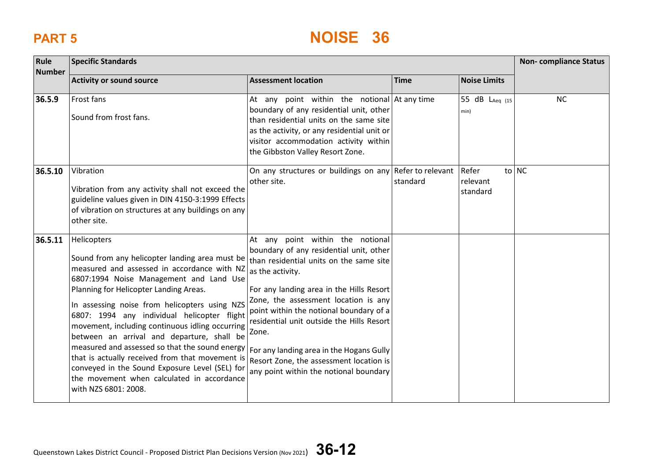| Rule<br><b>Number</b> | <b>Specific Standards</b>                                                                                                                                                                                                                                                                                                                                                                                                                                                                                                                                                                                                       | <b>Non-compliance Status</b>                                                                                                                                                                                                                                                                                                                                                                                                                                     |             |                               |           |
|-----------------------|---------------------------------------------------------------------------------------------------------------------------------------------------------------------------------------------------------------------------------------------------------------------------------------------------------------------------------------------------------------------------------------------------------------------------------------------------------------------------------------------------------------------------------------------------------------------------------------------------------------------------------|------------------------------------------------------------------------------------------------------------------------------------------------------------------------------------------------------------------------------------------------------------------------------------------------------------------------------------------------------------------------------------------------------------------------------------------------------------------|-------------|-------------------------------|-----------|
|                       | <b>Activity or sound source</b>                                                                                                                                                                                                                                                                                                                                                                                                                                                                                                                                                                                                 | <b>Assessment location</b>                                                                                                                                                                                                                                                                                                                                                                                                                                       | <b>Time</b> | <b>Noise Limits</b>           |           |
| 36.5.9                | Frost fans<br>Sound from frost fans.                                                                                                                                                                                                                                                                                                                                                                                                                                                                                                                                                                                            | At any point within the notional $\det$ any time<br>boundary of any residential unit, other<br>than residential units on the same site<br>as the activity, or any residential unit or<br>visitor accommodation activity within<br>the Gibbston Valley Resort Zone.                                                                                                                                                                                               |             | 55 dB LAeq (15<br>min)        | <b>NC</b> |
| 36.5.10               | Vibration<br>Vibration from any activity shall not exceed the<br>guideline values given in DIN 4150-3:1999 Effects<br>of vibration on structures at any buildings on any<br>other site.                                                                                                                                                                                                                                                                                                                                                                                                                                         | On any structures or buildings on any Refer to relevant<br>other site.                                                                                                                                                                                                                                                                                                                                                                                           | standard    | Refer<br>relevant<br>standard | to NC     |
| 36.5.11               | Helicopters<br>Sound from any helicopter landing area must be<br>measured and assessed in accordance with NZ<br>6807:1994 Noise Management and Land Use<br>Planning for Helicopter Landing Areas.<br>In assessing noise from helicopters using NZS<br>6807: 1994 any individual helicopter flight<br>movement, including continuous idling occurring<br>between an arrival and departure, shall be<br>measured and assessed so that the sound energy<br>that is actually received from that movement is<br>conveyed in the Sound Exposure Level (SEL) for<br>the movement when calculated in accordance<br>with NZS 6801: 2008. | At any point within the notional<br>boundary of any residential unit, other<br>than residential units on the same site<br>as the activity.<br>For any landing area in the Hills Resort<br>Zone, the assessment location is any<br>point within the notional boundary of a<br>residential unit outside the Hills Resort<br>Zone.<br>For any landing area in the Hogans Gully<br>Resort Zone, the assessment location is<br>any point within the notional boundary |             |                               |           |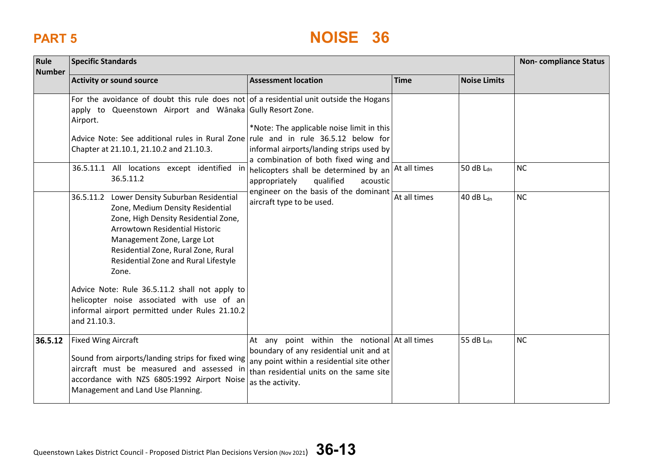| Rule<br><b>Number</b> | <b>Specific Standards</b>                                                                                                                                                                                                                                                                                                                                                                                                                          |                                                                                                                                                                                                                                                                                                     |              |                       | <b>Non-compliance Status</b> |  |
|-----------------------|----------------------------------------------------------------------------------------------------------------------------------------------------------------------------------------------------------------------------------------------------------------------------------------------------------------------------------------------------------------------------------------------------------------------------------------------------|-----------------------------------------------------------------------------------------------------------------------------------------------------------------------------------------------------------------------------------------------------------------------------------------------------|--------------|-----------------------|------------------------------|--|
|                       | <b>Activity or sound source</b>                                                                                                                                                                                                                                                                                                                                                                                                                    | <b>Assessment location</b>                                                                                                                                                                                                                                                                          | <b>Time</b>  | <b>Noise Limits</b>   |                              |  |
|                       | For the avoidance of doubt this rule does not of a residential unit outside the Hogans<br>apply to Queenstown Airport and Wanaka Gully Resort Zone.<br>Airport.<br>Advice Note: See additional rules in Rural Zone rule and in rule 36.5.12 below for<br>Chapter at 21.10.1, 21.10.2 and 21.10.3.                                                                                                                                                  | *Note: The applicable noise limit in this<br>informal airports/landing strips used by<br>a combination of both fixed wing and<br>helicopters shall be determined by an At all times<br>appropriately<br>qualified<br>acoustic<br>engineer on the basis of the dominant<br>aircraft type to be used. |              |                       |                              |  |
|                       | 36.5.11.1 All locations except identified in<br>36.5.11.2                                                                                                                                                                                                                                                                                                                                                                                          |                                                                                                                                                                                                                                                                                                     |              | 50 dB L <sub>dn</sub> | <b>NC</b>                    |  |
|                       | 36.5.11.2 Lower Density Suburban Residential<br>Zone, Medium Density Residential<br>Zone, High Density Residential Zone,<br>Arrowtown Residential Historic<br>Management Zone, Large Lot<br>Residential Zone, Rural Zone, Rural<br>Residential Zone and Rural Lifestyle<br>Zone.<br>Advice Note: Rule 36.5.11.2 shall not apply to<br>helicopter noise associated with use of an<br>informal airport permitted under Rules 21.10.2<br>and 21.10.3. |                                                                                                                                                                                                                                                                                                     | At all times | 40 dB $L_{dn}$        | <b>NC</b>                    |  |
| 36.5.12               | <b>Fixed Wing Aircraft</b><br>Sound from airports/landing strips for fixed wing<br>aircraft must be measured and assessed in<br>accordance with NZS 6805:1992 Airport Noise<br>Management and Land Use Planning.                                                                                                                                                                                                                                   | At any point within the notional $\det$ all times<br>boundary of any residential unit and at<br>any point within a residential site other<br>than residential units on the same site<br>as the activity.                                                                                            |              | 55 dB Ldn             | <b>NC</b>                    |  |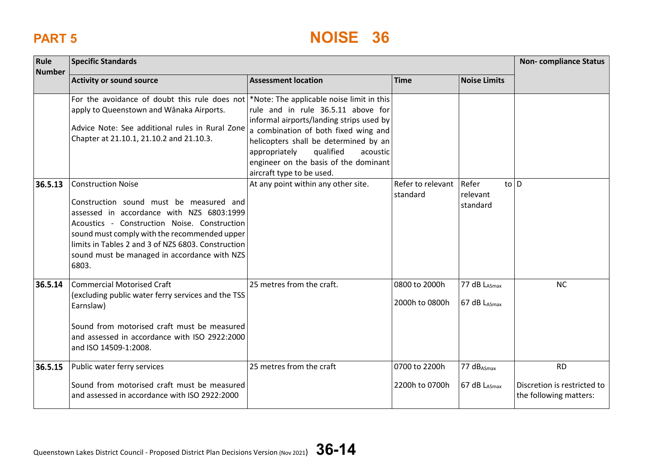| Rule<br><b>Number</b> | <b>Specific Standards</b>                                                                                                                                                                                                                                                                                                        |                                                                                                                                                                                                                                                                                 |                                 |                                                 | <b>Non-compliance Status</b>                                       |
|-----------------------|----------------------------------------------------------------------------------------------------------------------------------------------------------------------------------------------------------------------------------------------------------------------------------------------------------------------------------|---------------------------------------------------------------------------------------------------------------------------------------------------------------------------------------------------------------------------------------------------------------------------------|---------------------------------|-------------------------------------------------|--------------------------------------------------------------------|
|                       | <b>Activity or sound source</b>                                                                                                                                                                                                                                                                                                  | <b>Assessment location</b>                                                                                                                                                                                                                                                      | <b>Time</b>                     | <b>Noise Limits</b>                             |                                                                    |
|                       | For the avoidance of doubt this rule does not *Note: The applicable noise limit in this<br>apply to Queenstown and Wānaka Airports.<br>Advice Note: See additional rules in Rural Zone<br>Chapter at 21.10.1, 21.10.2 and 21.10.3.                                                                                               | rule and in rule 36.5.11 above for<br>informal airports/landing strips used by<br>a combination of both fixed wing and<br>helicopters shall be determined by an<br>qualified<br>acoustic<br>appropriately<br>engineer on the basis of the dominant<br>aircraft type to be used. |                                 |                                                 |                                                                    |
| 36.5.13               | <b>Construction Noise</b><br>Construction sound must be measured and<br>assessed in accordance with NZS 6803:1999<br>Acoustics - Construction Noise. Construction<br>sound must comply with the recommended upper<br>limits in Tables 2 and 3 of NZS 6803. Construction<br>sound must be managed in accordance with NZS<br>6803. | At any point within any other site.                                                                                                                                                                                                                                             | Refer to relevant<br>standard   | $to$ $\vert$ D<br>Refer<br>relevant<br>standard |                                                                    |
| 36.5.14               | <b>Commercial Motorised Craft</b><br>(excluding public water ferry services and the TSS<br>Earnslaw)<br>Sound from motorised craft must be measured<br>and assessed in accordance with ISO 2922:2000<br>and ISO 14509-1:2008.                                                                                                    | 25 metres from the craft.                                                                                                                                                                                                                                                       | 0800 to 2000h<br>2000h to 0800h | 77 dB LASmax<br>67 dB LASmax                    | <b>NC</b>                                                          |
| 36.5.15               | Public water ferry services<br>Sound from motorised craft must be measured<br>and assessed in accordance with ISO 2922:2000                                                                                                                                                                                                      | 25 metres from the craft                                                                                                                                                                                                                                                        | 0700 to 2200h<br>2200h to 0700h | 77 dB <sub>ASmax</sub><br>67 dB LASmax          | <b>RD</b><br>Discretion is restricted to<br>the following matters: |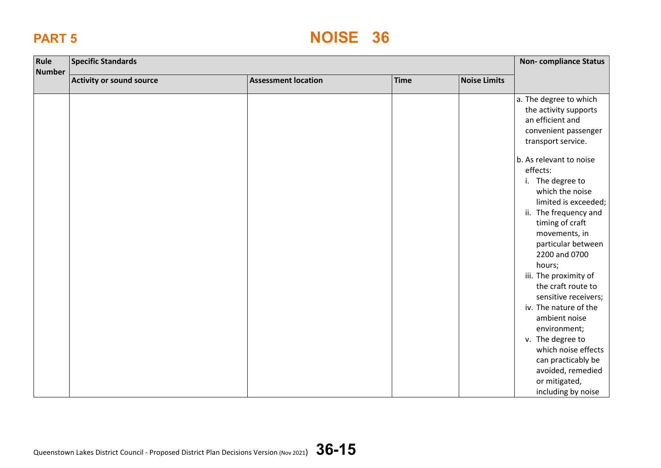| Rule<br><b>Number</b> | <b>Specific Standards</b> |                            |             | <b>Non-compliance Status</b> |                                                                                                                                                                                                                                                                                                                                                                                                                                                                                                                                                                                                     |
|-----------------------|---------------------------|----------------------------|-------------|------------------------------|-----------------------------------------------------------------------------------------------------------------------------------------------------------------------------------------------------------------------------------------------------------------------------------------------------------------------------------------------------------------------------------------------------------------------------------------------------------------------------------------------------------------------------------------------------------------------------------------------------|
|                       | Activity or sound source  | <b>Assessment location</b> | <b>Time</b> | <b>Noise Limits</b>          |                                                                                                                                                                                                                                                                                                                                                                                                                                                                                                                                                                                                     |
|                       |                           |                            |             |                              | a. The degree to which<br>the activity supports<br>an efficient and<br>convenient passenger<br>transport service.<br>b. As relevant to noise<br>effects:<br>i. The degree to<br>which the noise<br>limited is exceeded;<br>ii. The frequency and<br>timing of craft<br>movements, in<br>particular between<br>2200 and 0700<br>hours;<br>iii. The proximity of<br>the craft route to<br>sensitive receivers;<br>iv. The nature of the<br>ambient noise<br>environment;<br>v. The degree to<br>which noise effects<br>can practicably be<br>avoided, remedied<br>or mitigated,<br>including by noise |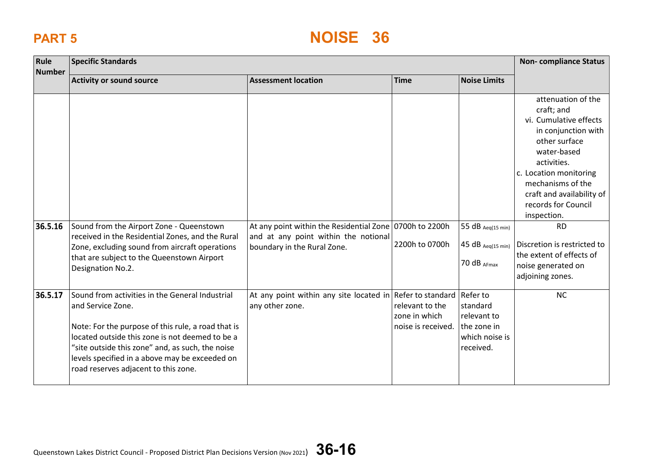| Rule          | <b>Specific Standards</b>                                                                                                                                                                                                                                                                                                   |                                                                                                 |                                                        |                                                                       | <b>Non-compliance Status</b>                                                                                                                                                                                                                                                                   |
|---------------|-----------------------------------------------------------------------------------------------------------------------------------------------------------------------------------------------------------------------------------------------------------------------------------------------------------------------------|-------------------------------------------------------------------------------------------------|--------------------------------------------------------|-----------------------------------------------------------------------|------------------------------------------------------------------------------------------------------------------------------------------------------------------------------------------------------------------------------------------------------------------------------------------------|
| <b>Number</b> | <b>Activity or sound source</b>                                                                                                                                                                                                                                                                                             | <b>Assessment location</b>                                                                      | <b>Time</b>                                            | <b>Noise Limits</b>                                                   |                                                                                                                                                                                                                                                                                                |
| 36.5.16       | Sound from the Airport Zone - Queenstown<br>received in the Residential Zones, and the Rural                                                                                                                                                                                                                                | At any point within the Residential Zone 0700h to 2200h<br>and at any point within the notional | 2200h to 0700h                                         | 55 $dB$ Aeq(15 min)<br>$45 dB$ Aeq(15 min)                            | attenuation of the<br>craft; and<br>vi. Cumulative effects<br>in conjunction with<br>other surface<br>water-based<br>activities.<br>c. Location monitoring<br>mechanisms of the<br>craft and availability of<br>records for Council<br>inspection.<br><b>RD</b><br>Discretion is restricted to |
|               | Zone, excluding sound from aircraft operations<br>that are subject to the Queenstown Airport<br>Designation No.2.                                                                                                                                                                                                           | boundary in the Rural Zone.                                                                     |                                                        | 70 dB AFmax                                                           | the extent of effects of<br>noise generated on<br>adjoining zones.                                                                                                                                                                                                                             |
| 36.5.17       | Sound from activities in the General Industrial<br>and Service Zone.<br>Note: For the purpose of this rule, a road that is<br>located outside this zone is not deemed to be a<br>"site outside this zone" and, as such, the noise<br>levels specified in a above may be exceeded on<br>road reserves adjacent to this zone. | At any point within any site located in Refer to standard Refer to<br>any other zone.           | relevant to the<br>zone in which<br>noise is received. | standard<br>relevant to<br>the zone in<br>which noise is<br>received. | <b>NC</b>                                                                                                                                                                                                                                                                                      |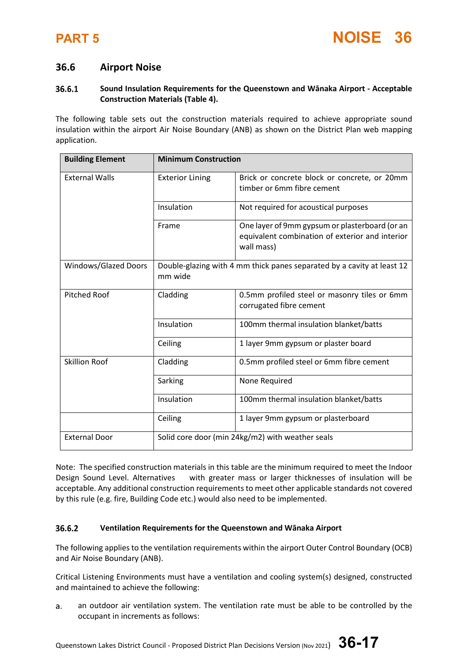### **36.6 Airport Noise**

### 36.6.1 **Sound Insulation Requirements for the Queenstown and Wānaka Airport - Acceptable Construction Materials (Table 4).**

The following table sets out the construction materials required to achieve appropriate sound insulation within the airport Air Noise Boundary (ANB) as shown on the District Plan web mapping application.

| <b>Building Element</b> | <b>Minimum Construction</b>                                                       |                                                                                                                 |  |
|-------------------------|-----------------------------------------------------------------------------------|-----------------------------------------------------------------------------------------------------------------|--|
| <b>External Walls</b>   | <b>Exterior Lining</b>                                                            | Brick or concrete block or concrete, or 20mm<br>timber or 6mm fibre cement                                      |  |
|                         | Insulation                                                                        | Not required for acoustical purposes                                                                            |  |
|                         | Frame                                                                             | One layer of 9mm gypsum or plasterboard (or an<br>equivalent combination of exterior and interior<br>wall mass) |  |
| Windows/Glazed Doors    | Double-glazing with 4 mm thick panes separated by a cavity at least 12<br>mm wide |                                                                                                                 |  |
| <b>Pitched Roof</b>     | Cladding                                                                          | 0.5mm profiled steel or masonry tiles or 6mm<br>corrugated fibre cement                                         |  |
|                         | Insulation                                                                        | 100mm thermal insulation blanket/batts                                                                          |  |
|                         | Ceiling                                                                           | 1 layer 9mm gypsum or plaster board                                                                             |  |
| <b>Skillion Roof</b>    | Cladding                                                                          | 0.5mm profiled steel or 6mm fibre cement                                                                        |  |
|                         | Sarking                                                                           | None Required                                                                                                   |  |
|                         | Insulation                                                                        | 100mm thermal insulation blanket/batts                                                                          |  |
|                         | Ceiling                                                                           | 1 layer 9mm gypsum or plasterboard                                                                              |  |
| <b>External Door</b>    | Solid core door (min 24kg/m2) with weather seals                                  |                                                                                                                 |  |

Note: The specified construction materials in this table are the minimum required to meet the Indoor Design Sound Level. Alternatives with greater mass or larger thicknesses of insulation will be acceptable. Any additional construction requirements to meet other applicable standards not covered by this rule (e.g. fire, Building Code etc.) would also need to be implemented.

### 36.6.2 **Ventilation Requirements for the Queenstown and Wānaka Airport**

The following applies to the ventilation requirements within the airport Outer Control Boundary (OCB) and Air Noise Boundary (ANB).

Critical Listening Environments must have a ventilation and cooling system(s) designed, constructed and maintained to achieve the following:

a. an outdoor air ventilation system. The ventilation rate must be able to be controlled by the occupant in increments as follows:

Queenstown Lakes District Council - Proposed District Plan Decisions Version (Nov 2021) **36-17**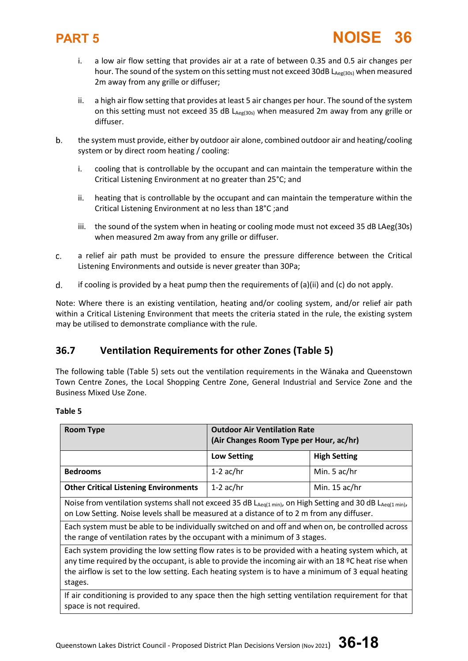

- i. a low air flow setting that provides air at a rate of between 0.35 and 0.5 air changes per hour. The sound of the system on this setting must not exceed 30dB  $L_{\text{Aeg(30s)}}$  when measured 2m away from any grille or diffuser;
- ii. a high air flow setting that provides at least 5 air changes per hour. The sound of the system on this setting must not exceed 35 dB LAeg(30s) when measured 2m away from any grille or diffuser.
- b. the system must provide, either by outdoor air alone, combined outdoor air and heating/cooling system or by direct room heating / cooling:
	- i. cooling that is controllable by the occupant and can maintain the temperature within the Critical Listening Environment at no greater than 25°C; and
	- ii. heating that is controllable by the occupant and can maintain the temperature within the Critical Listening Environment at no less than 18°C ;and
	- iii. the sound of the system when in heating or cooling mode must not exceed 35 dB LAeg(30s) when measured 2m away from any grille or diffuser.
- a relief air path must be provided to ensure the pressure difference between the Critical c. Listening Environments and outside is never greater than 30Pa;
- d. if cooling is provided by a heat pump then the requirements of  $(a)(ii)$  and  $(c)$  do not apply.

Note: Where there is an existing ventilation, heating and/or cooling system, and/or relief air path within a Critical Listening Environment that meets the criteria stated in the rule, the existing system may be utilised to demonstrate compliance with the rule.

## **36.7 Ventilation Requirements for other Zones (Table 5)**

The following table (Table 5) sets out the ventilation requirements in the Wānaka and Queenstown Town Centre Zones, the Local Shopping Centre Zone, General Industrial and Service Zone and the Business Mixed Use Zone.

### **Table 5**

| <b>Room Type</b>                                                                                                                                                                                                                                                                                                           | <b>Outdoor Air Ventilation Rate</b><br>(Air Changes Room Type per Hour, ac/hr) |                     |  |
|----------------------------------------------------------------------------------------------------------------------------------------------------------------------------------------------------------------------------------------------------------------------------------------------------------------------------|--------------------------------------------------------------------------------|---------------------|--|
|                                                                                                                                                                                                                                                                                                                            | <b>Low Setting</b>                                                             | <b>High Setting</b> |  |
| <b>Bedrooms</b>                                                                                                                                                                                                                                                                                                            | 1-2 $ac/hr$                                                                    | Min. 5 ac/hr        |  |
| <b>Other Critical Listening Environments</b>                                                                                                                                                                                                                                                                               | 1-2 $ac/hr$                                                                    | Min. $15$ ac/hr     |  |
| Noise from ventilation systems shall not exceed 35 dB LAeq(1 min), on High Setting and 30 dB LAeq(1 min),<br>on Low Setting. Noise levels shall be measured at a distance of to 2 m from any diffuser.                                                                                                                     |                                                                                |                     |  |
| Each system must be able to be individually switched on and off and when on, be controlled across<br>the range of ventilation rates by the occupant with a minimum of 3 stages.                                                                                                                                            |                                                                                |                     |  |
| Each system providing the low setting flow rates is to be provided with a heating system which, at<br>any time required by the occupant, is able to provide the incoming air with an 18 °C heat rise when<br>the airflow is set to the low setting. Each heating system is to have a minimum of 3 equal heating<br>stages. |                                                                                |                     |  |
| If air conditioning is provided to any space then the high setting ventilation requirement for that<br>space is not required.                                                                                                                                                                                              |                                                                                |                     |  |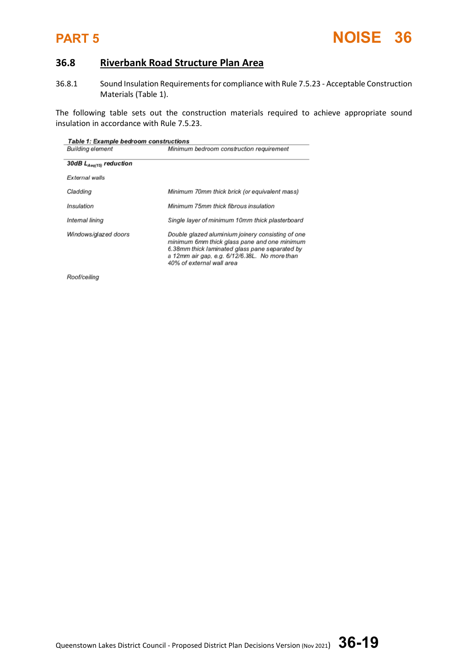

## **36.8 Riverbank Road Structure Plan Area**

36.8.1 Sound Insulation Requirements for compliance with Rule 7.5.23 - Acceptable Construction Materials (Table 1).

The following table sets out the construction materials required to achieve appropriate sound insulation in accordance with Rule 7.5.23.

| <b>Table 1: Example bedroom constructions</b> |                                                                                                                                                                                                                                   |  |  |
|-----------------------------------------------|-----------------------------------------------------------------------------------------------------------------------------------------------------------------------------------------------------------------------------------|--|--|
| <b>Building element</b>                       | Minimum bedroom construction requirement                                                                                                                                                                                          |  |  |
|                                               |                                                                                                                                                                                                                                   |  |  |
| 30dB $L_{Aeq(15)}$ reduction                  |                                                                                                                                                                                                                                   |  |  |
| External walls                                |                                                                                                                                                                                                                                   |  |  |
| Cladding                                      | Minimum 70mm thick brick (or equivalent mass)                                                                                                                                                                                     |  |  |
|                                               |                                                                                                                                                                                                                                   |  |  |
| Insulation                                    | Minimum 75mm thick fibrous insulation                                                                                                                                                                                             |  |  |
| Internal lining                               | Single layer of minimum 10mm thick plasterboard                                                                                                                                                                                   |  |  |
| Windows/glazed doors                          | Double glazed aluminium joinery consisting of one<br>minimum 6mm thick glass pane and one minimum<br>6.38mm thick laminated glass pane separated by<br>a 12mm air gap, e.g. 6/12/6.38L. No more than<br>40% of external wall area |  |  |
| Roof/ceiling                                  |                                                                                                                                                                                                                                   |  |  |

Queenstown Lakes District Council - Proposed District Plan Decisions Version (Nov 2021) **36-19**